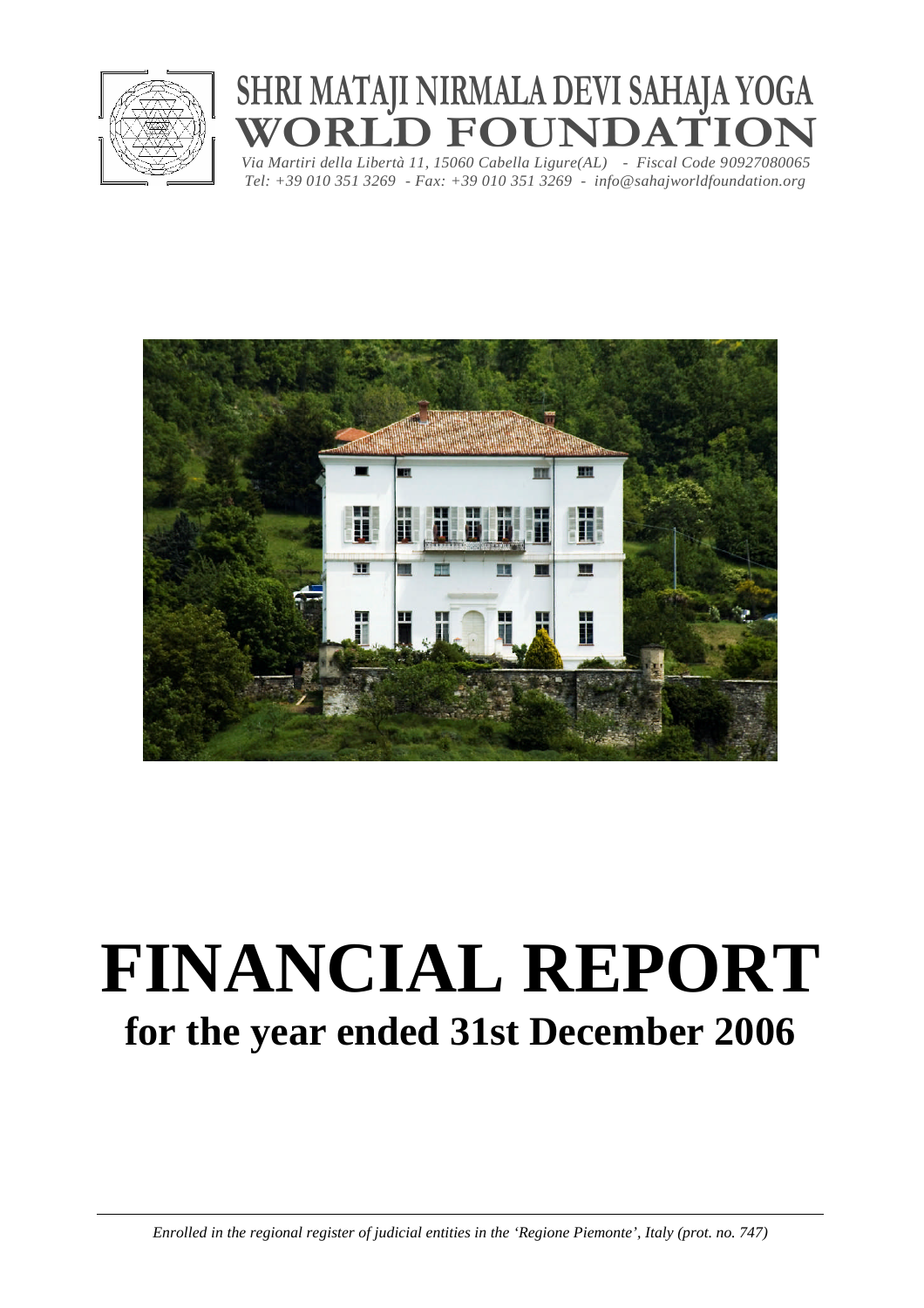

## **SHRI MATAJI NIRMALA DEVI SAHAJA YOGA ORLD FOUNDATION**

*Via Martiri della Libertà 11, 15060 Cabella Ligure(AL) - Fiscal Code 90927080065 Tel: +39 010 351 3269 - Fax: +39 010 351 3269 - info@sahajworldfoundation.org*



# **FINANCIAL REPORT for the year ended 31st December 2006**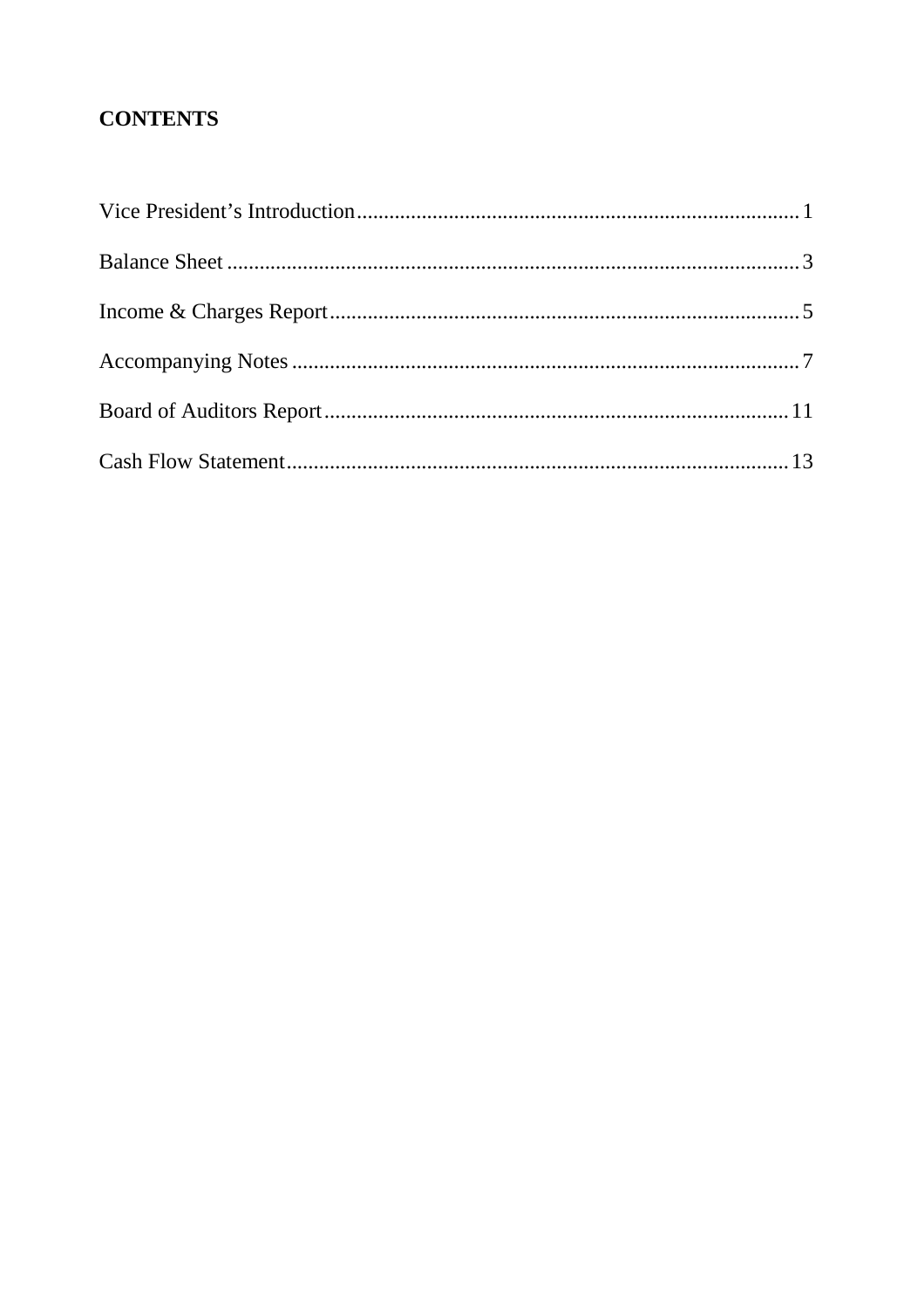#### **CONTENTS**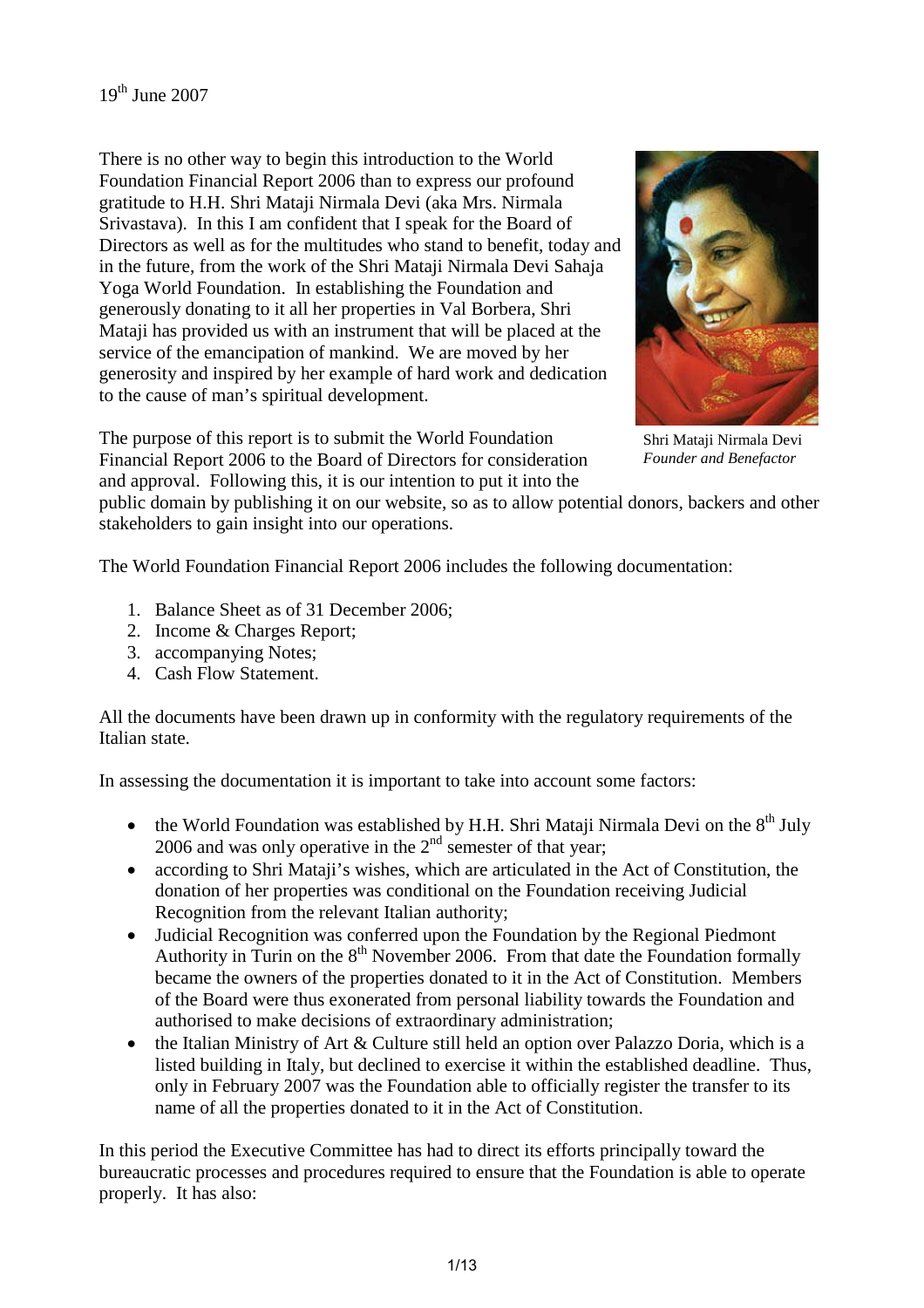There is no other way to begin this introduction to the World Foundation Financial Report 2006 than to express our profound gratitude to H.H. Shri Mataji Nirmala Devi (aka Mrs. Nirmala Srivastava). In this I am confident that I speak for the Board of Directors as well as for the multitudes who stand to benefit, today and in the future, from the work of the Shri Mataji Nirmala Devi Sahaja Yoga World Foundation. In establishing the Foundation and generously donating to it all her properties in Val Borbera, Shri Mataji has provided us with an instrument that will be placed at the service of the emancipation of mankind. We are moved by her generosity and inspired by her example of hard work and dedication to the cause of man's spiritual development.

The purpose of this report is to submit the World Foundation Financial Report 2006 to the Board of Directors for consideration and approval. Following this, it is our intention to put it into the



Shri Mataji Nirmala Devi *Founder and Benefactor*

public domain by publishing it on our website, so as to allow potential donors, backers and other stakeholders to gain insight into our operations.

The World Foundation Financial Report 2006 includes the following documentation:

- 1. Balance Sheet as of 31 December 2006;
- 2. Income & Charges Report;
- 3. accompanying Notes;
- 4. Cash Flow Statement.

All the documents have been drawn up in conformity with the regulatory requirements of the Italian state.

In assessing the documentation it is important to take into account some factors:

- the World Foundation was established by H.H. Shri Mataji Nirmala Devi on the  $8<sup>th</sup>$  July 2006 and was only operative in the  $2<sup>nd</sup>$  semester of that year;
- according to Shri Mataji's wishes, which are articulated in the Act of Constitution, the donation of her properties was conditional on the Foundation receiving Judicial Recognition from the relevant Italian authority;
- Judicial Recognition was conferred upon the Foundation by the Regional Piedmont Authority in Turin on the  $8<sup>th</sup>$  November 2006. From that date the Foundation formally became the owners of the properties donated to it in the Act of Constitution. Members of the Board were thus exonerated from personal liability towards the Foundation and authorised to make decisions of extraordinary administration;
- the Italian Ministry of Art & Culture still held an option over Palazzo Doria, which is a listed building in Italy, but declined to exercise it within the established deadline. Thus, only in February 2007 was the Foundation able to officially register the transfer to its name of all the properties donated to it in the Act of Constitution.

In this period the Executive Committee has had to direct its efforts principally toward the bureaucratic processes and procedures required to ensure that the Foundation is able to operate properly. It has also: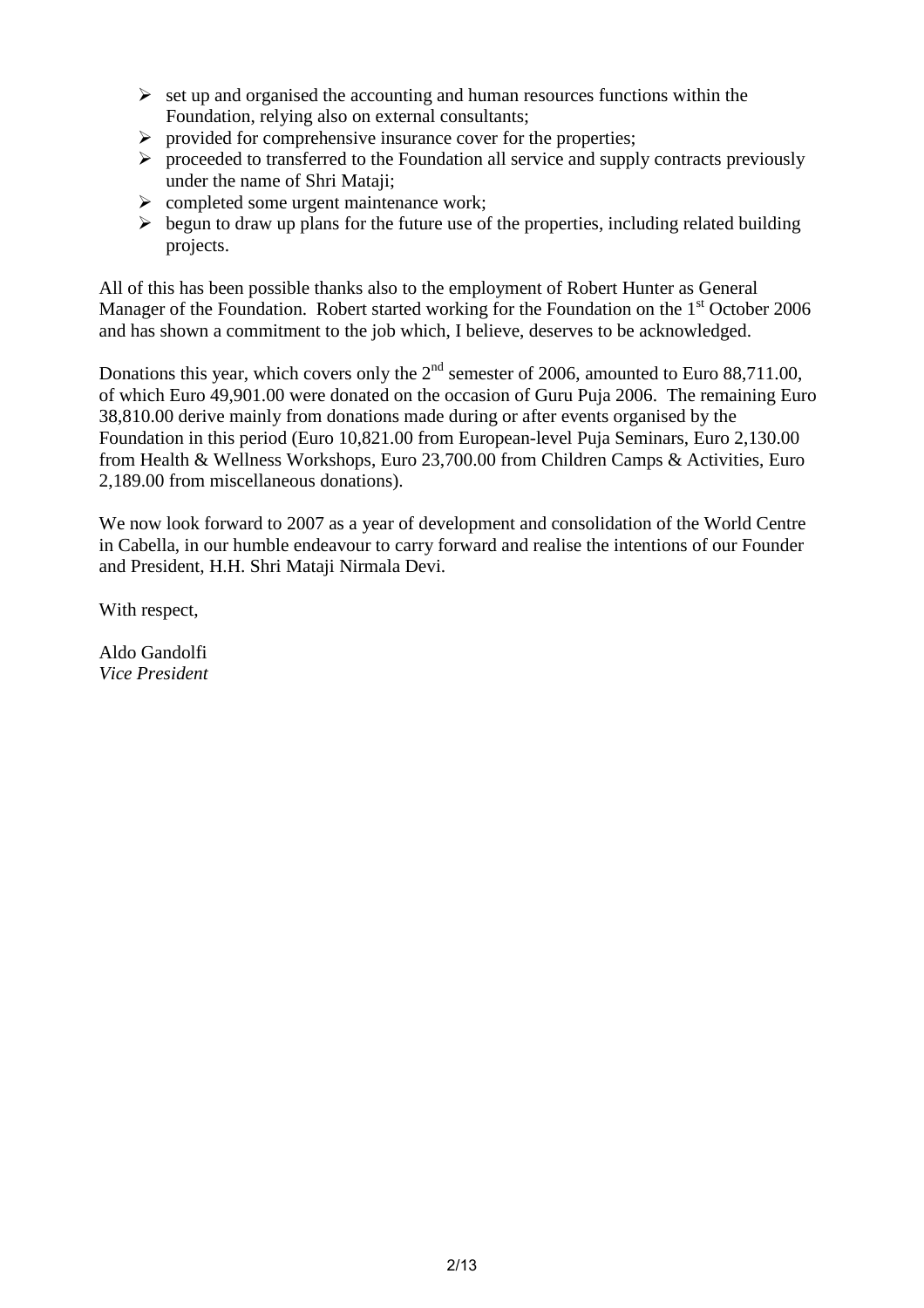- $\triangleright$  set up and organised the accounting and human resources functions within the Foundation, relying also on external consultants;
- $\triangleright$  provided for comprehensive insurance cover for the properties;
- $\triangleright$  proceeded to transferred to the Foundation all service and supply contracts previously under the name of Shri Mataji;
- $\triangleright$  completed some urgent maintenance work;
- $\triangleright$  begun to draw up plans for the future use of the properties, including related building projects.

All of this has been possible thanks also to the employment of Robert Hunter as General Manager of the Foundation. Robert started working for the Foundation on the  $1<sup>st</sup>$  October 2006 and has shown a commitment to the job which, I believe, deserves to be acknowledged.

Donations this year, which covers only the  $2<sup>nd</sup>$  semester of 2006, amounted to Euro 88,711.00, of which Euro 49,901.00 were donated on the occasion of Guru Puja 2006. The remaining Euro 38,810.00 derive mainly from donations made during or after events organised by the Foundation in this period (Euro 10,821.00 from European-level Puja Seminars, Euro 2,130.00 from Health & Wellness Workshops, Euro 23,700.00 from Children Camps & Activities, Euro 2,189.00 from miscellaneous donations).

We now look forward to 2007 as a year of development and consolidation of the World Centre in Cabella, in our humble endeavour to carry forward and realise the intentions of our Founder and President, H.H. Shri Mataji Nirmala Devi.

With respect,

Aldo Gandolfi *Vice President*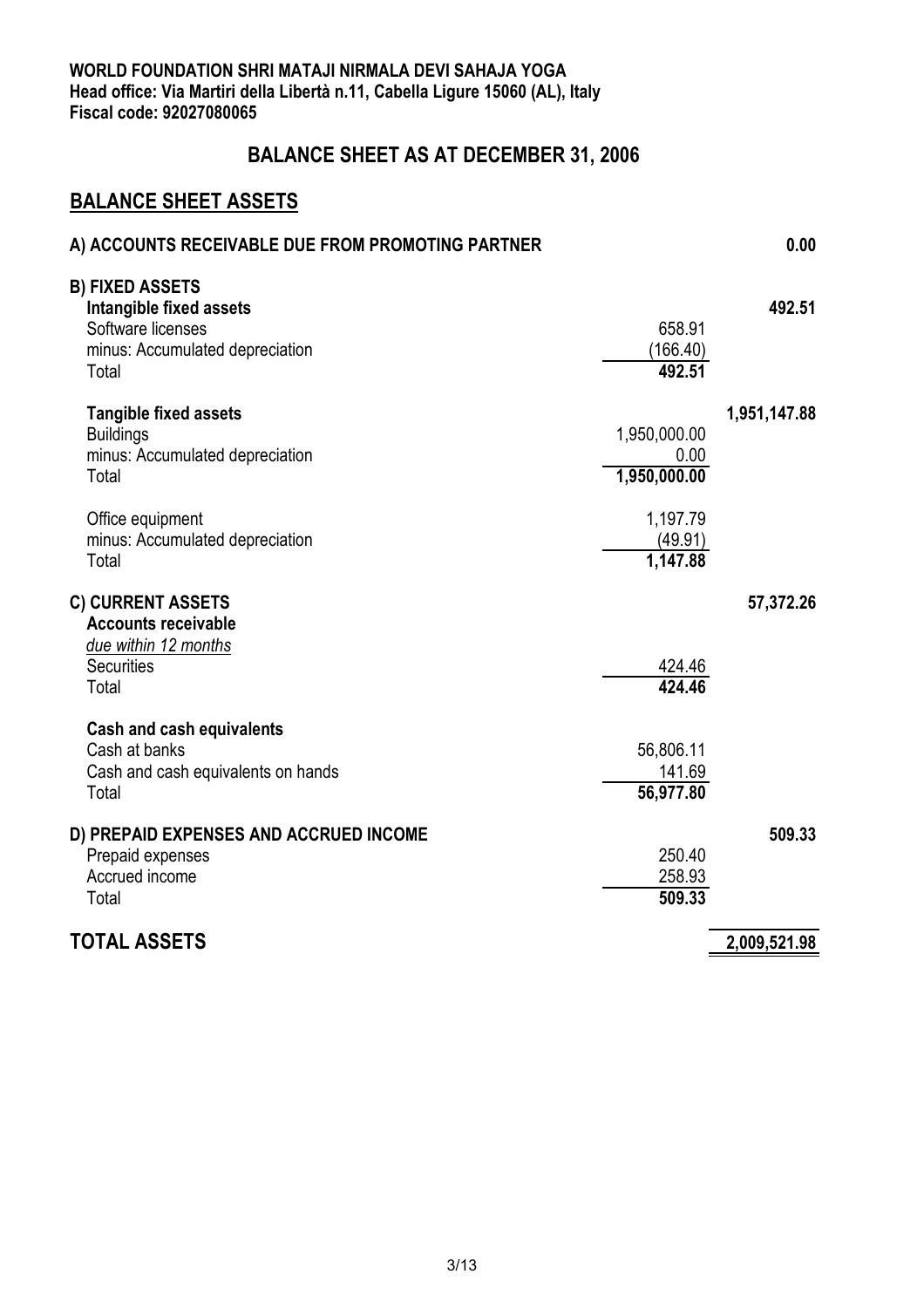#### **BALANCE SHEET AS AT DECEMBER 31, 2006**

#### **BALANCE SHEET ASSETS**

| A) ACCOUNTS RECEIVABLE DUE FROM PROMOTING PARTNER                                                                  |                                      | 0.00         |
|--------------------------------------------------------------------------------------------------------------------|--------------------------------------|--------------|
| <b>B) FIXED ASSETS</b><br>Intangible fixed assets<br>Software licenses<br>minus: Accumulated depreciation<br>Total | 658.91<br>(166.40)<br>492.51         | 492.51       |
| <b>Tangible fixed assets</b><br><b>Buildings</b><br>minus: Accumulated depreciation<br>Total                       | 1,950,000.00<br>0.00<br>1,950,000.00 | 1,951,147.88 |
| Office equipment<br>minus: Accumulated depreciation<br>Total                                                       | 1,197.79<br>(49.91)<br>1,147.88      |              |
| <b>C) CURRENT ASSETS</b><br><b>Accounts receivable</b><br>due within 12 months<br>Securities<br>Total              | 424.46<br>424.46                     | 57,372.26    |
| <b>Cash and cash equivalents</b><br>Cash at banks<br>Cash and cash equivalents on hands<br>Total                   | 56,806.11<br>141.69<br>56,977.80     |              |
| D) PREPAID EXPENSES AND ACCRUED INCOME<br>Prepaid expenses<br>Accrued income<br>Total                              | 250.40<br>258.93<br>509.33           | 509.33       |
| <b>TOTAL ASSETS</b>                                                                                                |                                      | 2,009,521.98 |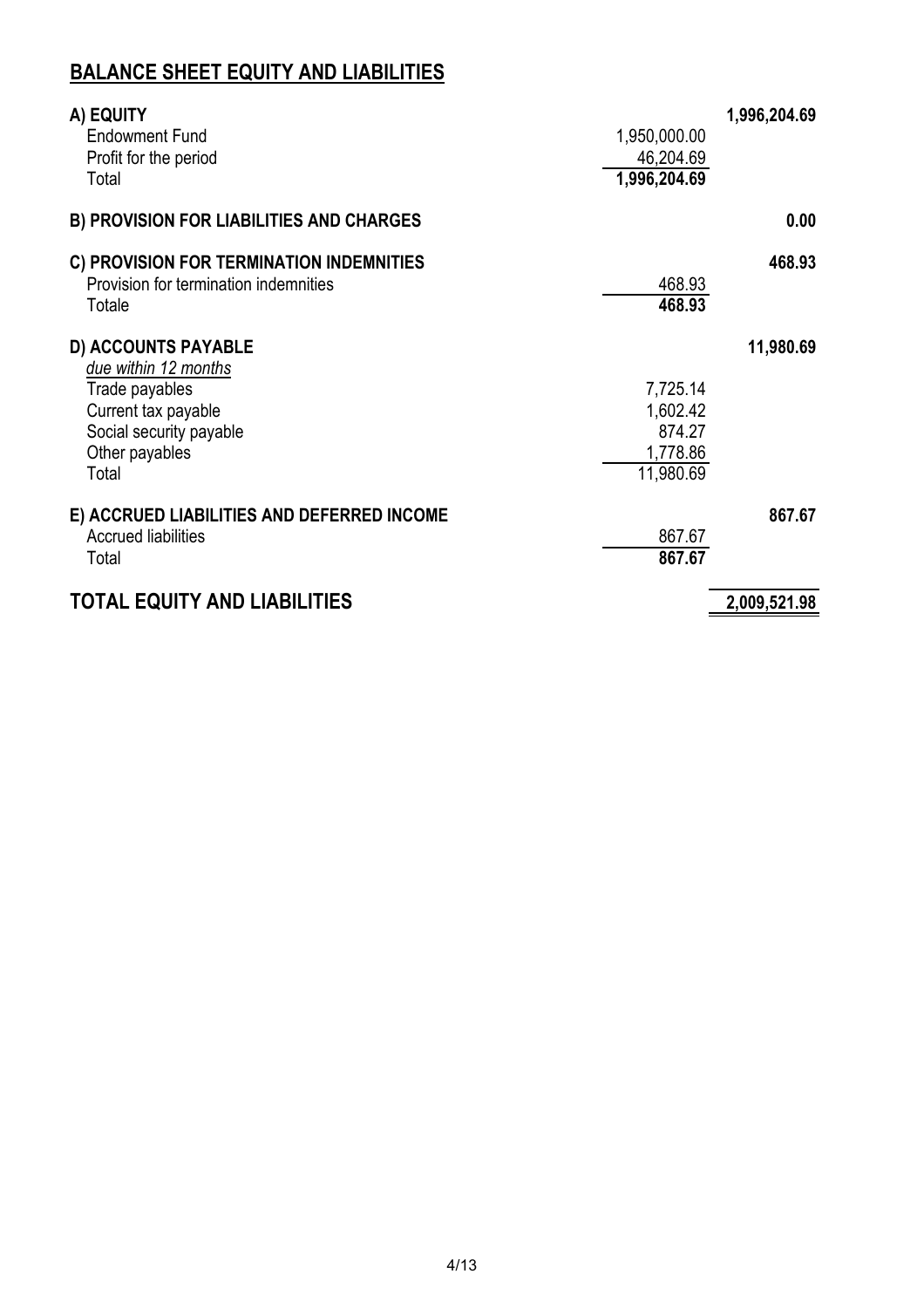#### **BALANCE SHEET EQUITY AND LIABILITIES**

| A) EQUITY                                       |              |
|-------------------------------------------------|--------------|
| <b>Endowment Fund</b><br>1,950,000.00           |              |
| 46,204.69<br>Profit for the period              |              |
| 1,996,204.69<br>Total                           |              |
| <b>B) PROVISION FOR LIABILITIES AND CHARGES</b> | 0.00         |
| C) PROVISION FOR TERMINATION INDEMNITIES        | 468.93       |
| Provision for termination indemnities<br>468.93 |              |
| 468.93<br>Totale                                |              |
| <b>D) ACCOUNTS PAYABLE</b>                      | 11,980.69    |
| due within 12 months                            |              |
| Trade payables<br>7,725.14                      |              |
| 1,602.42<br>Current tax payable                 |              |
| Social security payable<br>874.27               |              |
| 1,778.86<br>Other payables                      |              |
| 11,980.69<br>Total                              |              |
| E) ACCRUED LIABILITIES AND DEFERRED INCOME      | 867.67       |
| <b>Accrued liabilities</b><br>867.67            |              |
| 867.67<br>Total                                 |              |
| <b>TOTAL EQUITY AND LIABILITIES</b>             | 2,009,521.98 |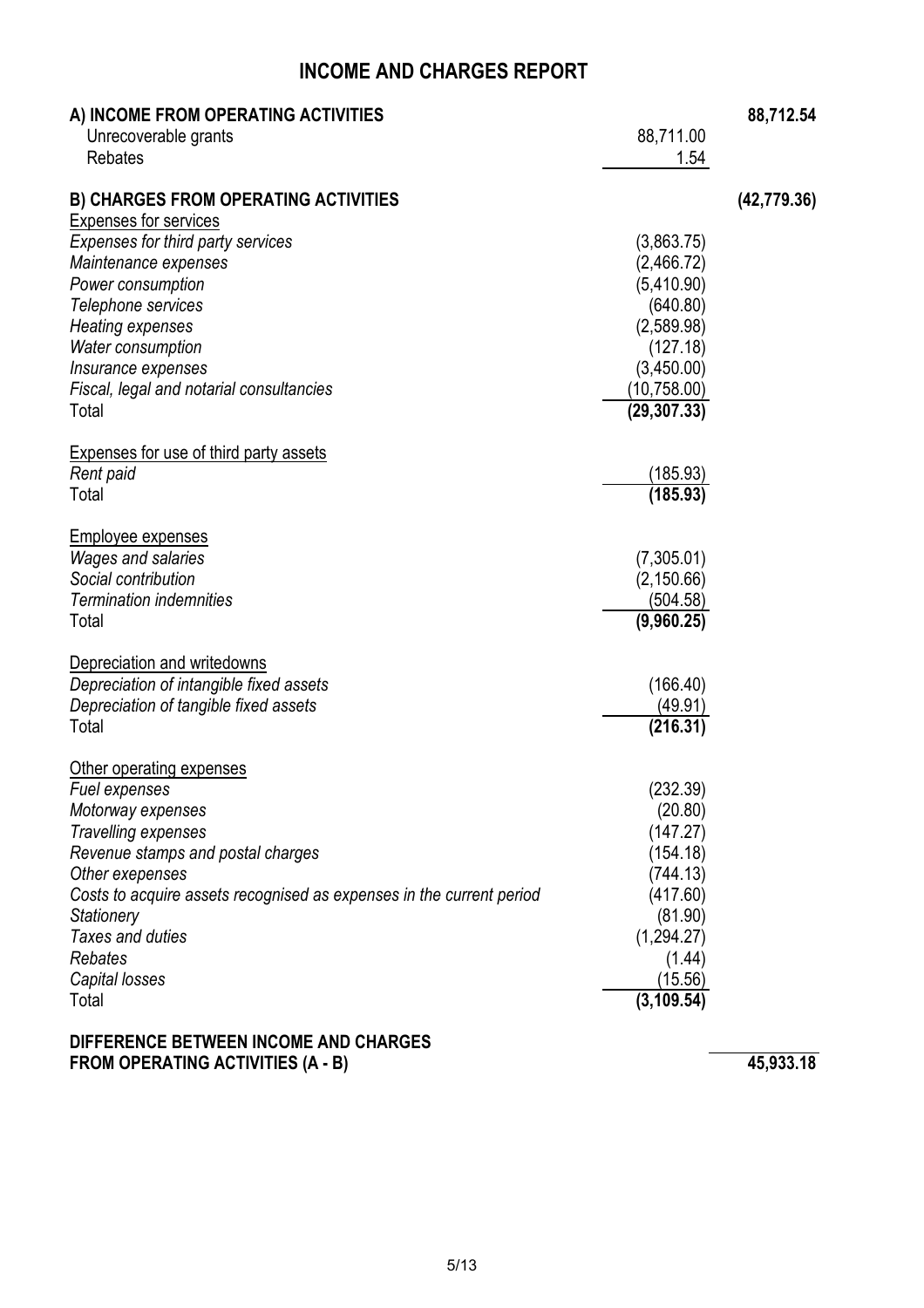#### **INCOME AND CHARGES REPORT**

| A) INCOME FROM OPERATING ACTIVITIES                                  |                        | 88,712.54    |
|----------------------------------------------------------------------|------------------------|--------------|
| Unrecoverable grants                                                 | 88,711.00              |              |
| <b>Rebates</b>                                                       | 1.54                   |              |
| <b>B) CHARGES FROM OPERATING ACTIVITIES</b>                          |                        | (42, 779.36) |
| <b>Expenses for services</b>                                         |                        |              |
| Expenses for third party services                                    | (3,863.75)             |              |
| Maintenance expenses                                                 | (2,466.72)             |              |
| Power consumption<br>Telephone services                              | (5,410.90)<br>(640.80) |              |
|                                                                      |                        |              |
| <b>Heating expenses</b>                                              | (2,589.98)             |              |
| Water consumption                                                    | (127.18)               |              |
| Insurance expenses                                                   | (3,450.00)             |              |
| Fiscal, legal and notarial consultancies                             | (10,758.00)            |              |
| Total                                                                | (29, 307.33)           |              |
| <b>Expenses for use of third party assets</b>                        |                        |              |
| Rent paid                                                            | (185.93)               |              |
| Total                                                                | (185.93)               |              |
| <b>Employee expenses</b>                                             |                        |              |
| <b>Wages and salaries</b>                                            | (7,305.01)             |              |
| Social contribution                                                  | (2, 150.66)            |              |
| <b>Termination indemnities</b>                                       | (504.58)               |              |
| Total                                                                | (9,960.25)             |              |
|                                                                      |                        |              |
| Depreciation and writedowns                                          |                        |              |
| Depreciation of intangible fixed assets                              | (166.40)               |              |
| Depreciation of tangible fixed assets                                | (49.91)                |              |
| Total                                                                | (216.31)               |              |
| Other operating expenses                                             |                        |              |
| Fuel expenses                                                        | (232.39)               |              |
| Motorway expenses                                                    | (20.80)                |              |
| Travelling expenses                                                  | (147.27)               |              |
| Revenue stamps and postal charges                                    | (154.18)               |              |
| Other exepenses                                                      | (744.13)               |              |
| Costs to acquire assets recognised as expenses in the current period | (417.60)               |              |
| Stationery                                                           | (81.90)                |              |
| Taxes and duties                                                     | (1, 294.27)            |              |
| Rebates                                                              | (1.44)                 |              |
| Capital losses                                                       | (15.56)                |              |
| Total                                                                | (3, 109.54)            |              |
|                                                                      |                        |              |

#### **DIFFERENCE BETWEEN INCOME AND CHARGES FROM OPERATING ACTIVITIES (A - B) 45,933.18**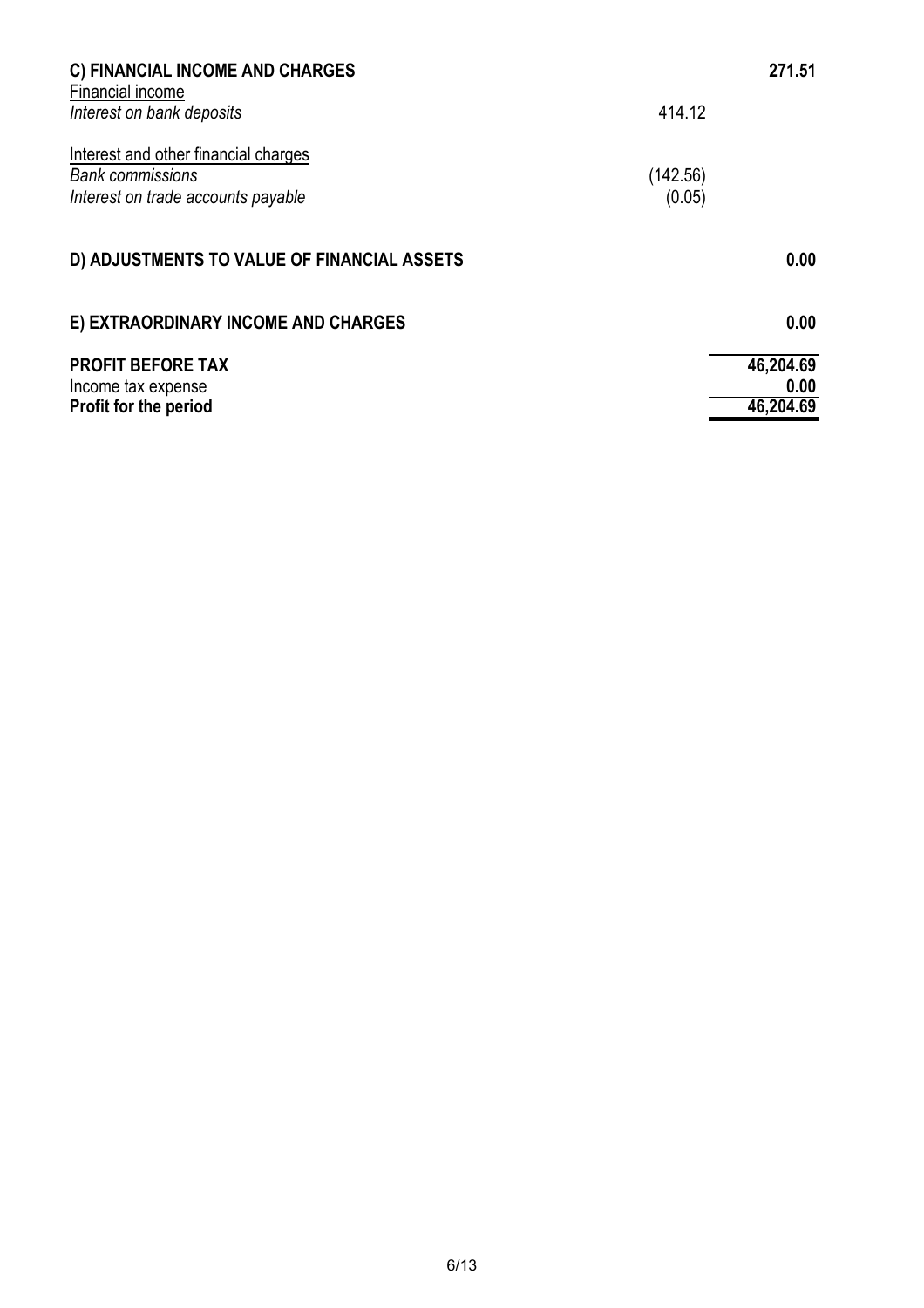| C) FINANCIAL INCOME AND CHARGES                                                                       |                    | 271.51    |
|-------------------------------------------------------------------------------------------------------|--------------------|-----------|
| Financial income<br>Interest on bank deposits                                                         | 414.12             |           |
| Interest and other financial charges<br><b>Bank commissions</b><br>Interest on trade accounts payable | (142.56)<br>(0.05) |           |
| D) ADJUSTMENTS TO VALUE OF FINANCIAL ASSETS                                                           |                    | 0.00      |
| E) EXTRAORDINARY INCOME AND CHARGES                                                                   |                    | 0.00      |
| <b>PROFIT BEFORE TAX</b>                                                                              |                    | 46,204.69 |
| Income tax expense                                                                                    |                    | 0.00      |
| Profit for the period                                                                                 |                    | 46,204.69 |
|                                                                                                       |                    |           |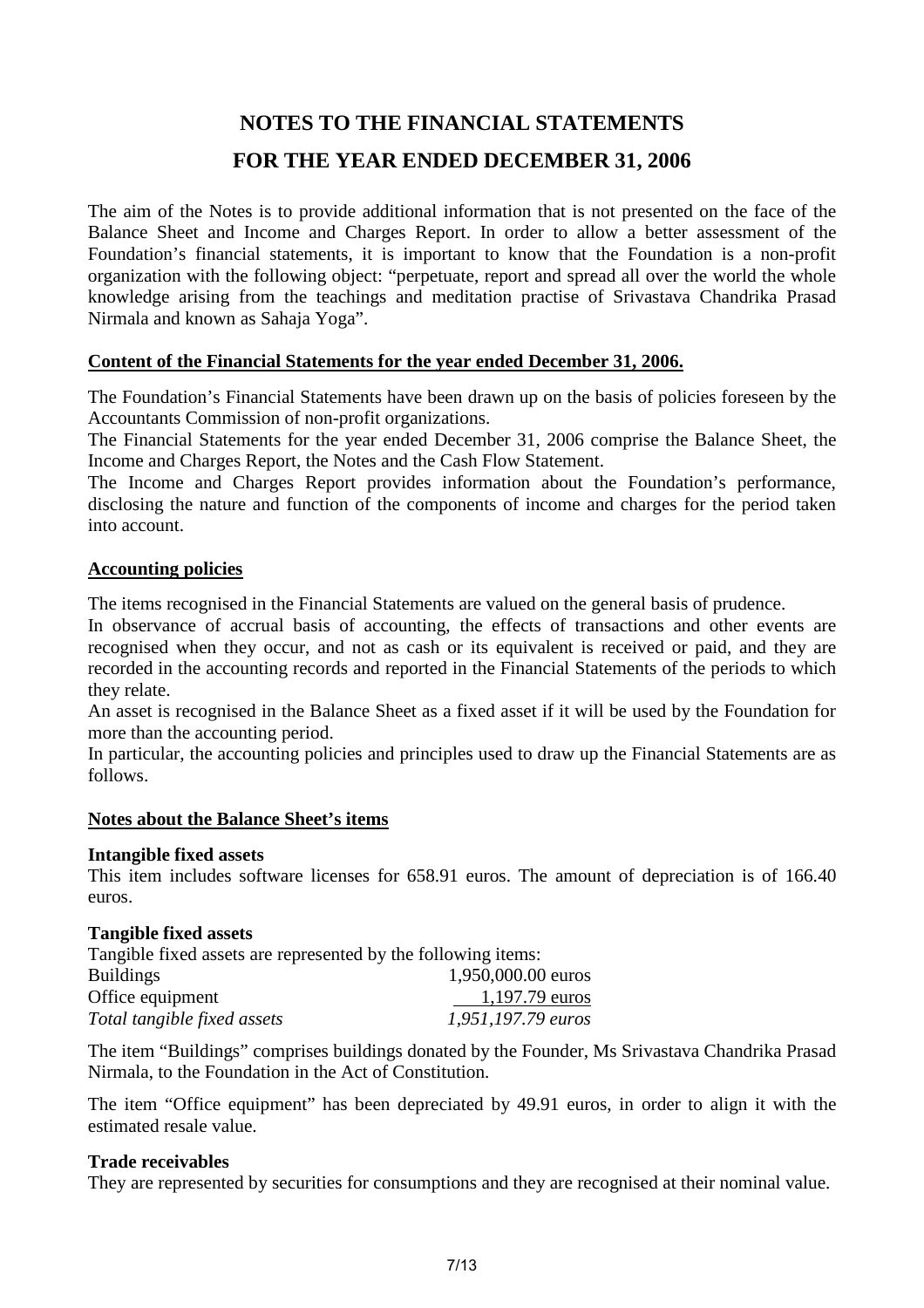### **NOTES TO THE FINANCIAL STATEMENTS FOR THE YEAR ENDED DECEMBER 31, 2006**

The aim of the Notes is to provide additional information that is not presented on the face of the Balance Sheet and Income and Charges Report. In order to allow a better assessment of the Foundation's financial statements, it is important to know that the Foundation is a non-profit organization with the following object: "perpetuate, report and spread all over the world the whole knowledge arising from the teachings and meditation practise of Srivastava Chandrika Prasad Nirmala and known as Sahaja Yoga".

#### **Content of the Financial Statements for the year ended December 31, 2006.**

The Foundation's Financial Statements have been drawn up on the basis of policies foreseen by the Accountants Commission of non-profit organizations.

The Financial Statements for the year ended December 31, 2006 comprise the Balance Sheet, the Income and Charges Report, the Notes and the Cash Flow Statement.

The Income and Charges Report provides information about the Foundation's performance, disclosing the nature and function of the components of income and charges for the period taken into account.

#### **Accounting policies**

The items recognised in the Financial Statements are valued on the general basis of prudence.

In observance of accrual basis of accounting, the effects of transactions and other events are recognised when they occur, and not as cash or its equivalent is received or paid, and they are recorded in the accounting records and reported in the Financial Statements of the periods to which they relate.

An asset is recognised in the Balance Sheet as a fixed asset if it will be used by the Foundation for more than the accounting period.

In particular, the accounting policies and principles used to draw up the Financial Statements are as follows.

#### **Notes about the Balance Sheet's items**

#### **Intangible fixed assets**

This item includes software licenses for 658.91 euros. The amount of depreciation is of 166.40 euros.

#### **Tangible fixed assets**

Tangible fixed assets are represented by the following items: Buildings 1,950,000.00 euros Office equipment 1,197.79 euros *Total tangible fixed assets 1,951,197.79 euros*

The item "Buildings" comprises buildings donated by the Founder, Ms Srivastava Chandrika Prasad Nirmala, to the Foundation in the Act of Constitution.

The item "Office equipment" has been depreciated by 49.91 euros, in order to align it with the estimated resale value.

#### **Trade receivables**

They are represented by securities for consumptions and they are recognised at their nominal value.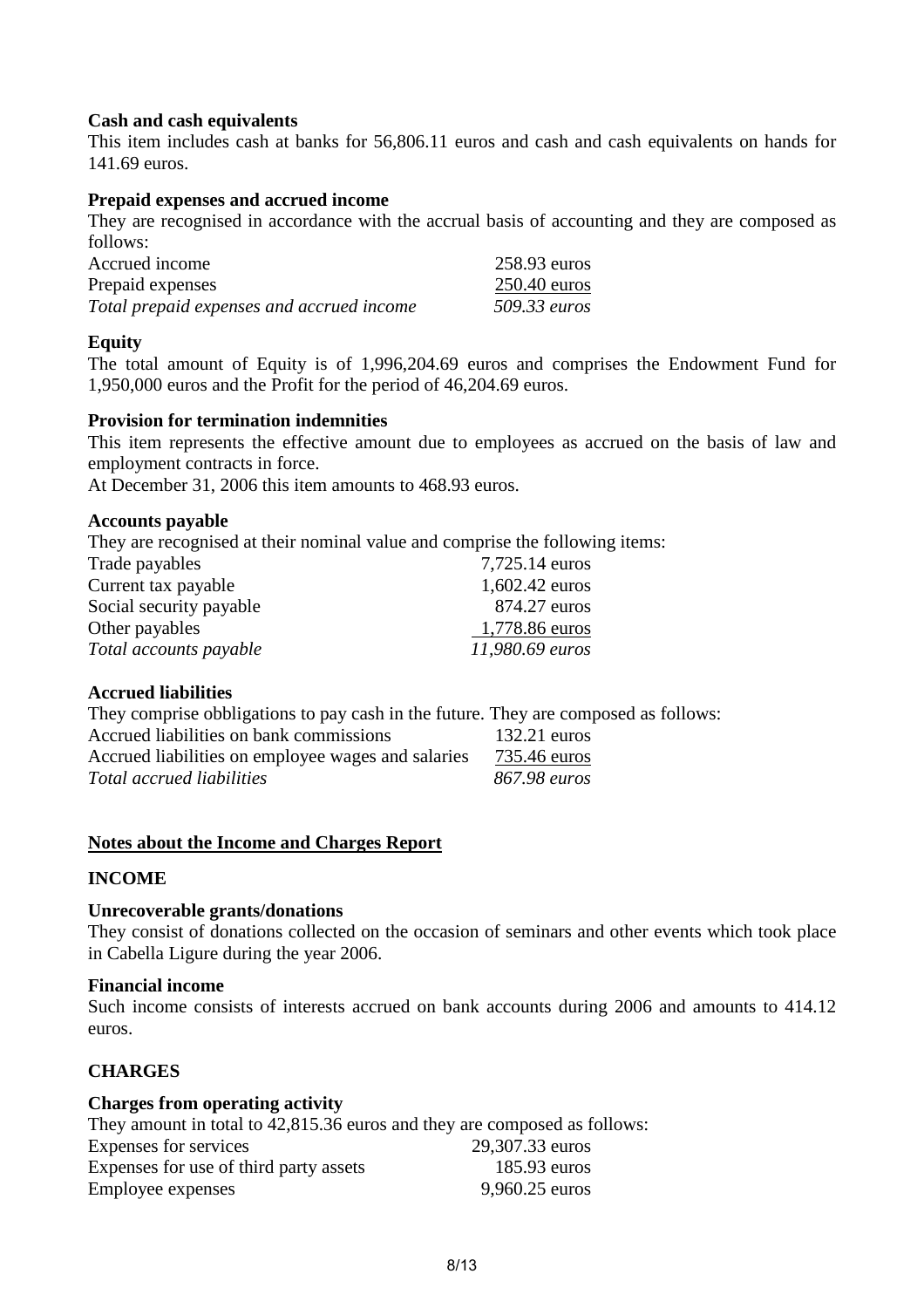#### **Cash and cash equivalents**

This item includes cash at banks for 56,806.11 euros and cash and cash equivalents on hands for 141.69 euros.

#### **Prepaid expenses and accrued income**

They are recognised in accordance with the accrual basis of accounting and they are composed as follows:

| Accrued income                            | 258.93 euros   |
|-------------------------------------------|----------------|
| Prepaid expenses                          | $250.40$ euros |
| Total prepaid expenses and accrued income | 509.33 euros   |

#### **Equity**

The total amount of Equity is of 1,996,204.69 euros and comprises the Endowment Fund for 1,950,000 euros and the Profit for the period of 46,204.69 euros.

#### **Provision for termination indemnities**

This item represents the effective amount due to employees as accrued on the basis of law and employment contracts in force.

At December 31, 2006 this item amounts to 468.93 euros.

#### **Accounts payable**

They are recognised at their nominal value and comprise the following items: Trade payables 7,725.14 euros

| $1.123.17$ CHIVS |
|------------------|
| 1,602.42 euros   |
| 874.27 euros     |
| 1,778.86 euros   |
| 11,980.69 euros  |
|                  |

#### **Accrued liabilities**

They comprise obbligations to pay cash in the future. They are composed as follows:

| Accrued liabilities on bank commissions            | $132.21$ euros |
|----------------------------------------------------|----------------|
| Accrued liabilities on employee wages and salaries | 735.46 euros   |
| Total accrued liabilities                          | 867.98 euros   |

#### **Notes about the Income and Charges Report**

#### **INCOME**

#### **Unrecoverable grants/donations**

They consist of donations collected on the occasion of seminars and other events which took place in Cabella Ligure during the year 2006.

#### **Financial income**

Such income consists of interests accrued on bank accounts during 2006 and amounts to 414.12 euros.

#### **CHARGES**

#### **Charges from operating activity**

They amount in total to 42,815.36 euros and they are composed as follows: Expenses for services 29,307.33 euros Expenses for use of third party assets 185.93 euros Employee expenses 9,960.25 euros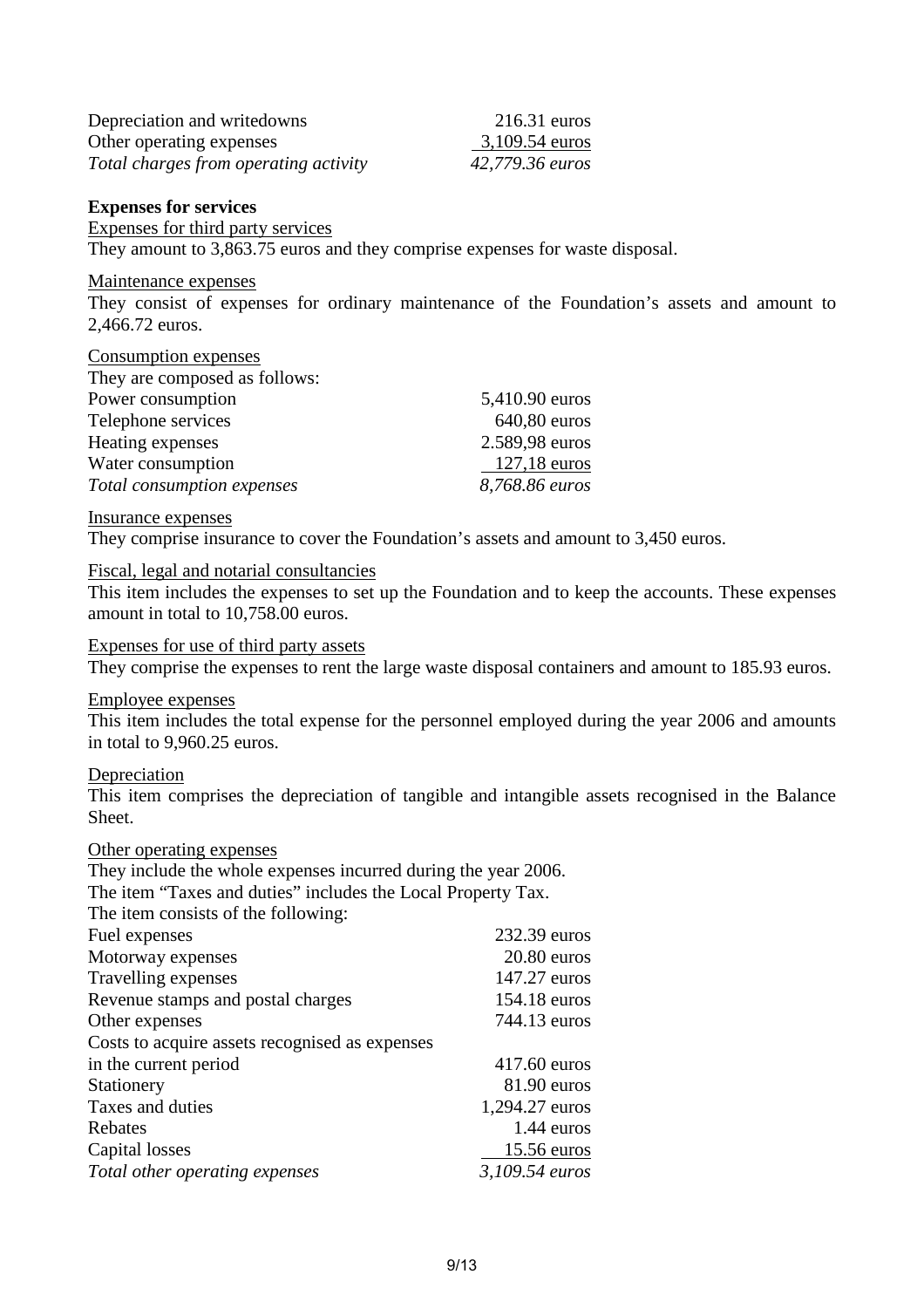| Depreciation and writedowns           | $216.31$ euros  |
|---------------------------------------|-----------------|
| Other operating expenses              | 3,109.54 euros  |
| Total charges from operating activity | 42,779.36 euros |

#### **Expenses for services**

Expenses for third party services

They amount to 3,863.75 euros and they comprise expenses for waste disposal.

#### Maintenance expenses

They consist of expenses for ordinary maintenance of the Foundation's assets and amount to 2,466.72 euros.

#### Consumption expenses

| They are composed as follows: |                |
|-------------------------------|----------------|
| Power consumption             | 5,410.90 euros |
| Telephone services            | 640,80 euros   |
| Heating expenses              | 2.589,98 euros |
| Water consumption             | $127,18$ euros |
| Total consumption expenses    | 8,768.86 euros |

#### Insurance expenses

They comprise insurance to cover the Foundation's assets and amount to 3,450 euros.

#### Fiscal, legal and notarial consultancies

This item includes the expenses to set up the Foundation and to keep the accounts. These expenses amount in total to 10,758.00 euros.

#### Expenses for use of third party assets

They comprise the expenses to rent the large waste disposal containers and amount to 185.93 euros.

#### Employee expenses

This item includes the total expense for the personnel employed during the year 2006 and amounts in total to 9,960.25 euros.

#### Depreciation

This item comprises the depreciation of tangible and intangible assets recognised in the Balance Sheet.

#### Other operating expenses

They include the whole expenses incurred during the year 2006.

The item "Taxes and duties" includes the Local Property Tax.

The item consists of the following:

| Fuel expenses                                  | 232.39 euros   |
|------------------------------------------------|----------------|
| Motorway expenses                              | $20.80$ euros  |
| Travelling expenses                            | 147.27 euros   |
| Revenue stamps and postal charges              | 154.18 euros   |
| Other expenses                                 | 744.13 euros   |
| Costs to acquire assets recognised as expenses |                |
| in the current period                          | 417.60 euros   |
| Stationery                                     | $81.90$ euros  |
| Taxes and duties                               | 1,294.27 euros |
| Rebates                                        | $1.44$ euros   |
| Capital losses                                 | 15.56 euros    |
| Total other operating expenses                 | 3,109.54 euros |
|                                                |                |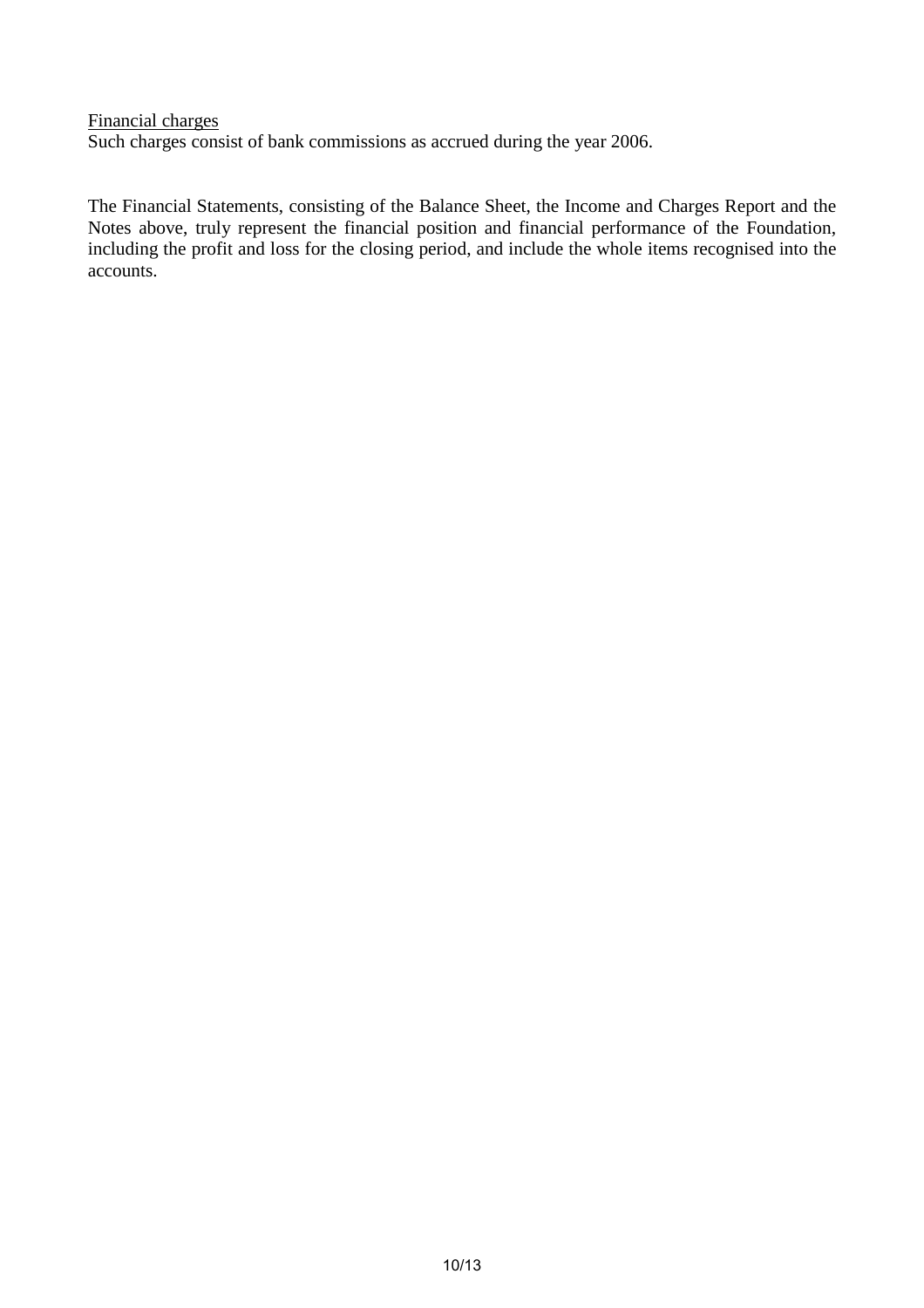Financial charges Such charges consist of bank commissions as accrued during the year 2006.

The Financial Statements, consisting of the Balance Sheet, the Income and Charges Report and the Notes above, truly represent the financial position and financial performance of the Foundation, including the profit and loss for the closing period, and include the whole items recognised into the accounts.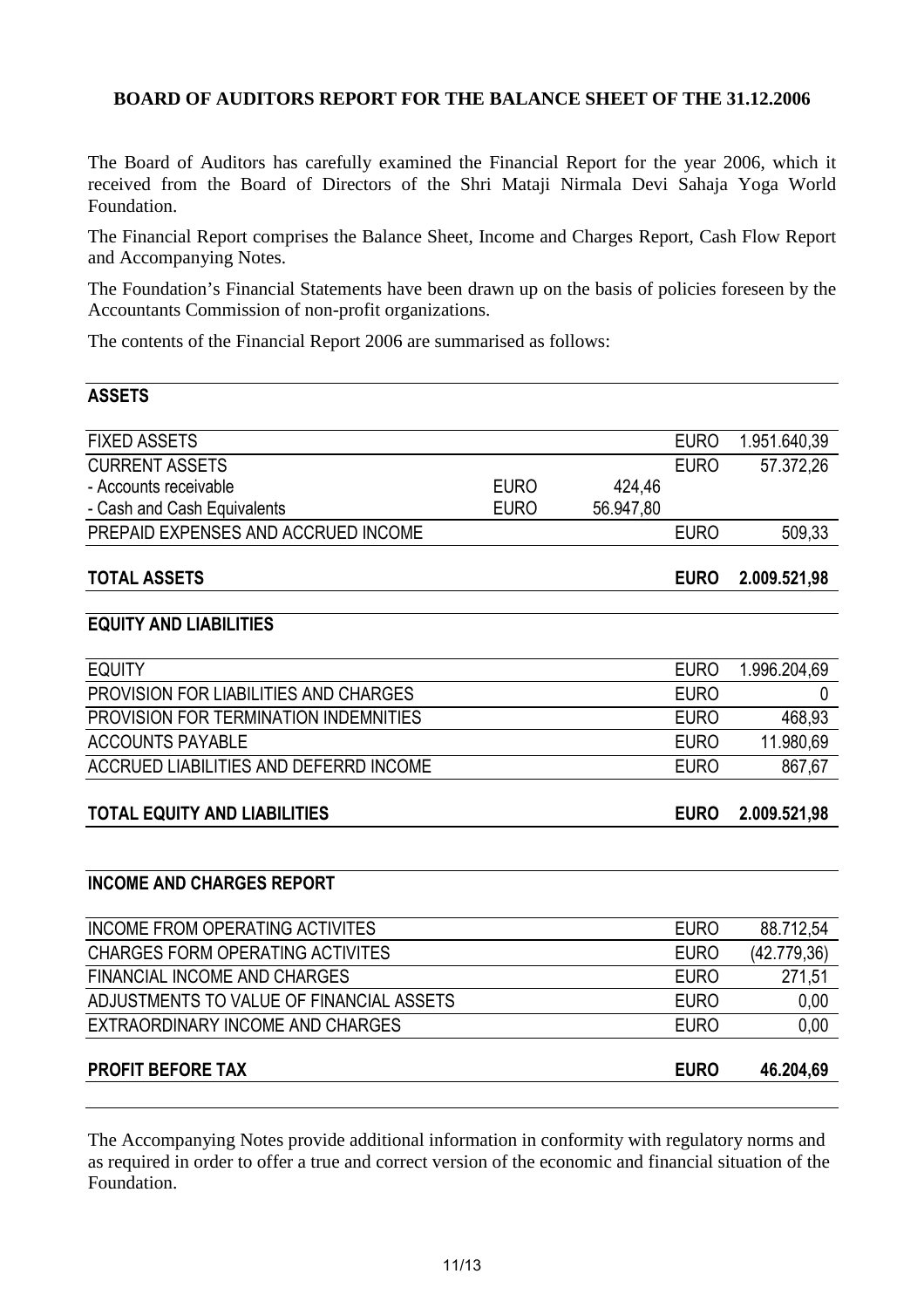#### **BOARD OF AUDITORS REPORT FOR THE BALANCE SHEET OF THE 31.12.2006**

The Board of Auditors has carefully examined the Financial Report for the year 2006, which it received from the Board of Directors of the Shri Mataji Nirmala Devi Sahaja Yoga World Foundation.

The Financial Report comprises the Balance Sheet, Income and Charges Report, Cash Flow Report and Accompanying Notes.

The Foundation's Financial Statements have been drawn up on the basis of policies foreseen by the Accountants Commission of non-profit organizations.

The contents of the Financial Report 2006 are summarised as follows:

**ASSETS**

|             |           | <b>EURO</b> | 1.951.640,39 |
|-------------|-----------|-------------|--------------|
|             |           | <b>EURO</b> | 57.372,26    |
| <b>EURO</b> | 424,46    |             |              |
| <b>EURO</b> | 56.947,80 |             |              |
|             |           | <b>EURO</b> | 509,33       |
|             |           | <b>EURO</b> | 2.009.521,98 |
|             |           |             |              |
|             |           | <b>EURO</b> | 1.996.204,69 |
|             |           | <b>EURO</b> | 0            |
|             |           | <b>EURO</b> | 468,93       |
|             |           | <b>EURO</b> | 11.980,69    |
|             |           | <b>EURO</b> | 867,67       |
|             |           | <b>EURO</b> | 2.009.521,98 |
|             |           |             |              |
|             |           |             |              |
|             |           | <b>EURO</b> | 88.712,54    |
|             |           | <b>EURO</b> | (42.779, 36) |
|             |           | <b>EURO</b> | 271,51       |
|             |           | <b>EURO</b> | 0,00         |
|             |           | <b>EURO</b> | 0,00         |
|             |           | <b>EURO</b> | 46.204,69    |
|             |           |             |              |

The Accompanying Notes provide additional information in conformity with regulatory norms and as required in order to offer a true and correct version of the economic and financial situation of the Foundation.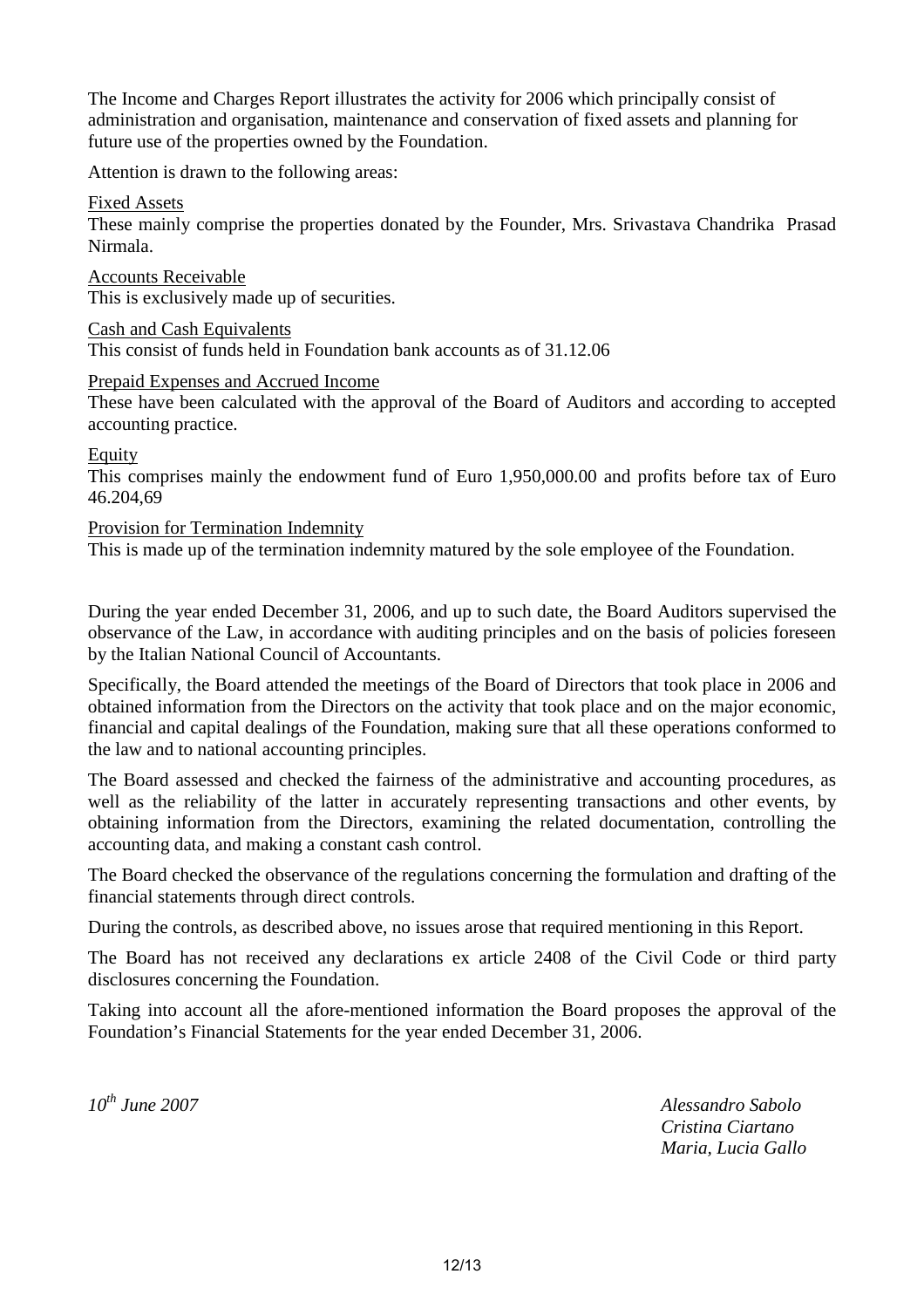The Income and Charges Report illustrates the activity for 2006 which principally consist of administration and organisation, maintenance and conservation of fixed assets and planning for future use of the properties owned by the Foundation.

Attention is drawn to the following areas:

Fixed Assets

These mainly comprise the properties donated by the Founder, Mrs. Srivastava Chandrika Prasad Nirmala.

Accounts Receivable This is exclusively made up of securities.

Cash and Cash Equivalents This consist of funds held in Foundation bank accounts as of 31.12.06

Prepaid Expenses and Accrued Income

These have been calculated with the approval of the Board of Auditors and according to accepted accounting practice.

Equity

This comprises mainly the endowment fund of Euro 1,950,000.00 and profits before tax of Euro 46.204,69

#### Provision for Termination Indemnity

This is made up of the termination indemnity matured by the sole employee of the Foundation.

During the year ended December 31, 2006, and up to such date, the Board Auditors supervised the observance of the Law, in accordance with auditing principles and on the basis of policies foreseen by the Italian National Council of Accountants.

Specifically, the Board attended the meetings of the Board of Directors that took place in 2006 and obtained information from the Directors on the activity that took place and on the major economic, financial and capital dealings of the Foundation, making sure that all these operations conformed to the law and to national accounting principles.

The Board assessed and checked the fairness of the administrative and accounting procedures, as well as the reliability of the latter in accurately representing transactions and other events, by obtaining information from the Directors, examining the related documentation, controlling the accounting data, and making a constant cash control.

The Board checked the observance of the regulations concerning the formulation and drafting of the financial statements through direct controls.

During the controls, as described above, no issues arose that required mentioning in this Report.

The Board has not received any declarations ex article 2408 of the Civil Code or third party disclosures concerning the Foundation.

Taking into account all the afore-mentioned information the Board proposes the approval of the Foundation's Financial Statements for the year ended December 31, 2006.

*10th June 2007 Alessandro Sabolo Cristina Ciartano Maria, Lucia Gallo*